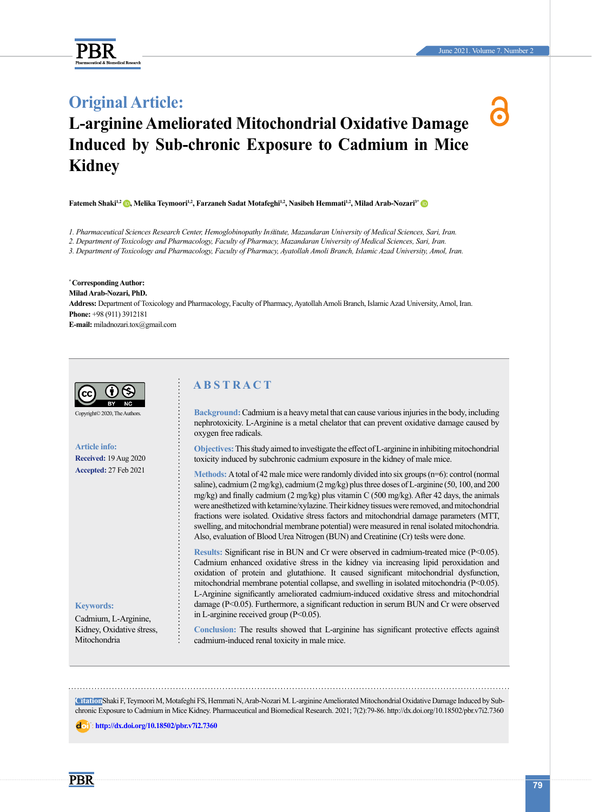



# **L-arginine Ameliorated Mitochondrial Oxidative Damage Induced by Sub-chronic Exposure to Cadmium in Mice Kidney**

**Fatemeh Shaki<sup>1,2</sup> <b>(b)**[,](https://orcid.org/0000-0001-5861-656X) Melika Teymoori<sup>1,2</sup>, Farzaneh Sadat Motafeghi<sup>1,2</sup>, Nasibeh Hemmati<sup>1,2</sup>, Milad Arab-Nozari<sup>3</sup>[\\*](https://orcid.org/0000-0001-5940-2694) **O** 

*1. Pharmaceutical Sciences Research Center, Hemoglobinopathy Institute, Mazandaran University of Medical Sciences, Sari, Iran.*

*2. Department of Toxicology and Pharmacology, Faculty of Pharmacy, Mazandaran University of Medical Sciences, Sari, Iran.*

*3. Department of Toxicology and Pharmacology, Faculty of Pharmacy, Ayatollah Amoli Branch, Islamic Azad University, Amol, Iran.*

**\* Corresponding Author: Milad Arab-Nozari, PhD. Address:** Department of Toxicology and Pharmacology, Faculty of Pharmacy, Ayatollah Amoli Branch, Islamic Azad University, Amol, Iran. **Phone:** +98 (911) 3912181 **E-mail:** miladnozari.tox@gmail.com



Copyright© 2020, The Authors.

**Article info: Received:** 19 Aug 2020 **Accepted:** 27 Feb 2021

#### **Keywords:**

Cadmium, L-Arginine, Kidney, Oxidative stress, Mitochondria

# **A B S T R A C T**

**Background:**Cadmium is a heavy metal that can cause various injuries in the body, including nephrotoxicity. L-Arginine is a metal chelator that can prevent oxidative damage caused by oxygen free radicals.

**Objectives:**This study aimed to investigate the effect of L-arginine in inhibiting mitochondrial toxicity induced by subchronic cadmium exposure in the kidney of male mice.

**Methods:** A total of 42 male mice were randomly divided into six groups (n=6): control (normal saline), cadmium (2 mg/kg), cadmium (2 mg/kg) plus three doses of L-arginine (50, 100, and 200 mg/kg) and finally cadmium (2 mg/kg) plus vitamin C (500 mg/kg). After 42 days, the animals were anesthetized with ketamine/xylazine. Their kidney tissues were removed, and mitochondrial fractions were isolated. Oxidative stress factors and mitochondrial damage parameters (MTT, swelling, and mitochondrial membrane potential) were measured in renal isolated mitochondria. Also, evaluation of Blood Urea Nitrogen (BUN) and Creatinine (Cr) tests were done.

**Results:** Significant rise in BUN and Cr were observed in cadmium-treated mice (P<0.05). Cadmium enhanced oxidative stress in the kidney via increasing lipid peroxidation and oxidation of protein and glutathione. It caused significant mitochondrial dysfunction, mitochondrial membrane potential collapse, and swelling in isolated mitochondria (P<0.05). L-Arginine significantly ameliorated cadmium-induced oxidative stress and mitochondrial damage (P<0.05). Furthermore, a significant reduction in serum BUN and Cr were observed in L-arginine received group (P<0.05).

**Conclusion:** The results showed that L-arginine has significant protective effects against cadmium-induced renal toxicity in male mice.

**Citation**Shaki F, Teymoori M, Motafeghi FS, Hemmati N, Arab-Nozari M. L-arginine Ameliorated Mitochondrial Oxidative Damage Induced by Subchronic Exposure to Cadmium in Mice Kidney. Pharmaceutical and Biomedical Research. 2021; 7(2):79-86. http://dx.doi.org/10.18502/pbr.v7i2.7360

: **<http://dx.doi.org/10.18502/pbr.v7i2.7360>**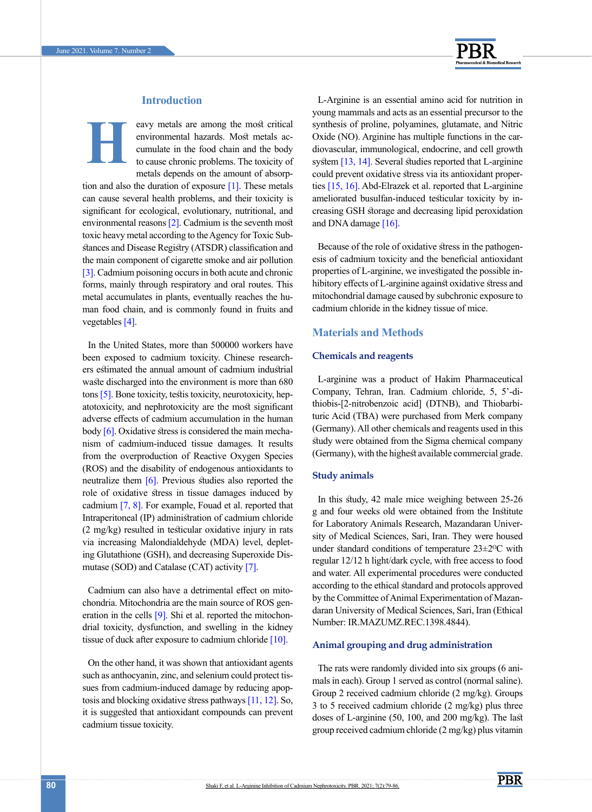

# **Introduction**

**H**

eavy metals are among the most critical environmental hazards. Most metals accumulate in the food chain and the body to cause chronic problems. The toxicity of metals depends on the amount of absorp-

tion and also the duration of exposure  $[1]$ . These metals can cause several health problems, and their toxicity is significant for ecological, evolutionary, nutritional, and environmental reasons [\[2\]](#page-6-1). Cadmium is the seventh most toxic heavy metal according to the Agency for Toxic Substances and Disease Registry (ATSDR) classification and the main component of cigarette smoke and air pollution [\[3\]](#page-6-2). Cadmium poisoning occurs in both acute and chronic forms, mainly through respiratory and oral routes. This metal accumulates in plants, eventually reaches the human food chain, and is commonly found in fruits and vegetables [\[4\]](#page-6-3).

In the United States, more than 500000 workers have been exposed to cadmium toxicity. Chinese researchers estimated the annual amount of cadmium industrial waste discharged into the environment is more than 680 tons [\[5\]](#page-6-4). Bone toxicity, testis toxicity, neurotoxicity, hepatotoxicity, and nephrotoxicity are the most significant adverse effects of cadmium accumulation in the human body  $[6]$ . Oxidative stress is considered the main mechanism of cadmium-induced tissue damages. It results from the overproduction of Reactive Oxygen Species (ROS) and the disability of endogenous antioxidants to neutralize them [\[6\].](#page-6-5) Previous studies also reported the role of oxidative stress in tissue damages induced by cadmium [\[7,](#page-6-6) [8\]](#page-6-7). For example, Fouad et al. reported that Intraperitoneal (IP) administration of cadmium chloride (2 mg/kg) resulted in testicular oxidative injury in rats via increasing Malondialdehyde (MDA) level, depleting Glutathione (GSH), and decreasing Superoxide Dismutase (SOD) and Catalase (CAT) activity [\[7\]](#page-6-6).

Cadmium can also have a detrimental effect on mitochondria. Mitochondria are the main source of ROS generation in the cells  $[9]$ . Shi et al. reported the mitochondrial toxicity, dysfunction, and swelling in the kidney tissue of duck after exposure to cadmium chloride  $[10]$ .

On the other hand, it was shown that antioxidant agents such as anthocyanin, zinc, and selenium could protect tissues from cadmium-induced damage by reducing apoptosis and blocking oxidative stress pathways [11, [12\]](#page-7-0). So, it is suggested that antioxidant compounds can prevent cadmium tissue toxicity.

L-Arginine is an essential amino acid for nutrition in young mammals and acts as an essential precursor to the synthesis of proline, polyamines, glutamate, and Nitric Oxide (NO). Arginine has multiple functions in the cardiovascular, immunological, endocrine, and cell growth system [\[13,](#page-7-1) [14\]](#page-7-2). Several studies reported that L-arginine could prevent oxidative stress via its antioxidant properties [\[15,](#page-7-3) 16]. Abd-Elrazek et al. reported that L-arginine ameliorated busulfan-induced testicular toxicity by increasing GSH storage and decreasing lipid peroxidation and DNA damage [16].

Because of the role of oxidative stress in the pathogenesis of cadmium toxicity and the beneficial antioxidant properties of L-arginine, we investigated the possible inhibitory effects of L-arginine against oxidative stress and mitochondrial damage caused by subchronic exposure to cadmium chloride in the kidney tissue of mice.

## **Materials and Methods**

#### **Chemicals and reagents**

L-arginine was a product of Hakim Pharmaceutical Company, Tehran, Iran. Cadmium chloride, 5, 5'-dithiobis-[2-nitrobenzoic acid] (DTNB), and Thiobarbituric Acid (TBA) were purchased from Merk company (Germany). All other chemicals and reagents used in this study were obtained from the Sigma chemical company (Germany), with the highest available commercial grade.

#### **Study animals**

In this study, 42 male mice weighing between 25-26 g and four weeks old were obtained from the Institute for Laboratory Animals Research, Mazandaran University of Medical Sciences, Sari, Iran. They were housed under standard conditions of temperature 23±2<sup>o</sup>C with regular 12/12 h light/dark cycle, with free access to food and water. All experimental procedures were conducted according to the ethical standard and protocols approved by the Committee of Animal Experimentation of Mazandaran University of Medical Sciences, Sari, Iran (Ethical Number: IR.MAZUMZ.REC.1398.4844).

# **Animal grouping and drug administration**

The rats were randomly divided into six groups (6 animals in each). Group 1 served as control (normal saline). Group 2 received cadmium chloride (2 mg/kg). Groups 3 to 5 received cadmium chloride (2 mg/kg) plus three doses of L-arginine (50, 100, and 200 mg/kg). The last group received cadmium chloride (2 mg/kg) plus vitamin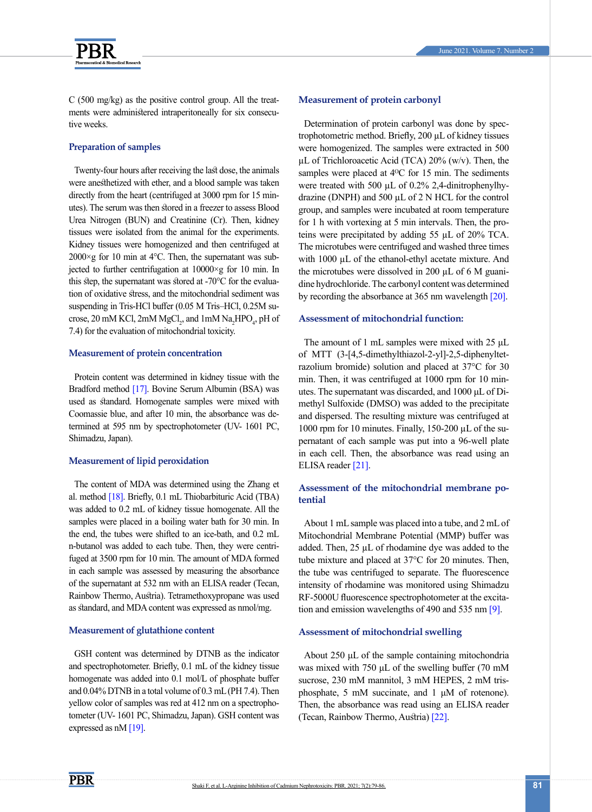

C (500 mg/kg) as the positive control group. All the treatments were administered intraperitoneally for six consecutive weeks.

### **Preparation of samples**

Twenty-four hours after receiving the last dose, the animals were anesthetized with ether, and a blood sample was taken directly from the heart (centrifuged at 3000 rpm for 15 minutes). The serum was then stored in a freezer to assess Blood Urea Nitrogen (BUN) and Creatinine (Cr). Then, kidney tissues were isolated from the animal for the experiments. Kidney tissues were homogenized and then centrifuged at  $2000 \times g$  for 10 min at 4°C. Then, the supernatant was subjected to further centrifugation at 10000×g for 10 min. In this step, the supernatant was stored at -70°C for the evaluation of oxidative stress, and the mitochondrial sediment was suspending in Tris-HCl buffer (0.05 M Tris–HCl, 0.25M sucrose, 20 mM KCl, 2mM  $MgCl<sub>2</sub>$ , and 1mM  $Na<sub>2</sub>HPO<sub>4</sub>$ , pH of 7.4) for the evaluation of mitochondrial toxicity.

#### **Measurement of protein concentration**

Protein content was determined in kidney tissue with the Bradford method [\[17\]](#page-7-4). Bovine Serum Albumin (BSA) was used as standard. Homogenate samples were mixed with Coomassie blue, and after 10 min, the absorbance was determined at 595 nm by spectrophotometer (UV- 1601 PC, Shimadzu, Japan).

#### **Measurement of lipid peroxidation**

The content of MDA was determined using the Zhang et al. method [\[18\]](#page-7-5). Briefly, 0.1 mL Thiobarbituric Acid (TBA) was added to 0.2 mL of kidney tissue homogenate. All the samples were placed in a boiling water bath for 30 min. In the end, the tubes were shifted to an ice-bath, and 0.2 mL n-butanol was added to each tube. Then, they were centrifuged at 3500 rpm for 10 min. The amount of MDA formed in each sample was assessed by measuring the absorbance of the supernatant at 532 nm with an ELISA reader (Tecan, Rainbow Thermo, Austria). Tetramethoxypropane was used as standard, and MDA content was expressed as nmol/mg.

#### **Measurement of glutathione content**

GSH content was determined by DTNB as the indicator and spectrophotometer. Briefly, 0.1 mL of the kidney tissue homogenate was added into 0.1 mol/L of phosphate buffer and 0.04% DTNB in a total volume of 0.3 mL (PH 7.4). Then yellow color of samples was red at 412 nm on a spectrophotometer (UV- 1601 PC, Shimadzu, Japan). GSH content was expressed as nM [19].

#### **Measurement of protein carbonyl**

Determination of protein carbonyl was done by spectrophotometric method. Briefly, 200 µL of kidney tissues were homogenized. The samples were extracted in 500 µL of Trichloroacetic Acid (TCA) 20% (w/v). Then, the samples were placed at 4<sup>o</sup>C for 15 min. The sediments were treated with 500  $\mu$ L of 0.2% 2,4-dinitrophenylhydrazine (DNPH) and 500 µL of 2 N HCL for the control group, and samples were incubated at room temperature for 1 h with vortexing at 5 min intervals. Then, the proteins were precipitated by adding 55 µL of 20% TCA. The microtubes were centrifuged and washed three times with 1000 µL of the ethanol-ethyl acetate mixture. And the microtubes were dissolved in 200 µL of 6 M guanidine hydrochloride. The carbonyl content was determined by recording the absorbance at 365 nm wavelength [\[20\]](#page-7-6).

### **Assessment of mitochondrial function:**

The amount of 1 mL samples were mixed with 25 μL of MTT (3-[4,5-dimethylthiazol-2-yl]-2,5-diphenyltetrazolium bromide) solution and placed at 37°C for 30 min. Then, it was centrifuged at 1000 rpm for 10 minutes. The supernatant was discarded, and 1000 μL of Dimethyl Sulfoxide (DMSO) was added to the precipitate and dispersed. The resulting mixture was centrifuged at 1000 rpm for 10 minutes. Finally, 150-200 µL of the supernatant of each sample was put into a 96-well plate in each cell. Then, the absorbance was read using an ELISA reader [\[21\]](#page-7-7).

## **Assessment of the mitochondrial membrane potential**

About 1 mL sample was placed into a tube, and 2 mL of Mitochondrial Membrane Potential (MMP) buffer was added. Then, 25 µL of rhodamine dye was added to the tube mixture and placed at 37°C for 20 minutes. Then, the tube was centrifuged to separate. The fluorescence intensity of rhodamine was monitored using Shimadzu RF-5000U fluorescence spectrophotometer at the excita-tion and emission wavelengths of 490 and 535 nm [\[9\]](#page-6-8).

#### **Assessment of mitochondrial swelling**

About 250 μL of the sample containing mitochondria was mixed with 750 μL of the swelling buffer (70 mM sucrose, 230 mM mannitol, 3 mM HEPES, 2 mM trisphosphate, 5 mM succinate, and 1 μM of rotenone). Then, the absorbance was read using an ELISA reader (Tecan, Rainbow Thermo, Austria) [\[22\]](#page-7-8).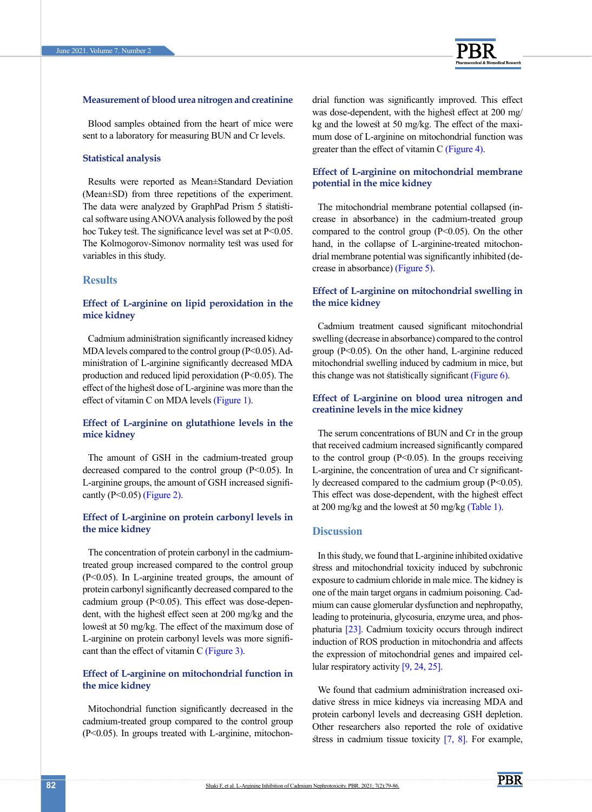

#### **Measurement of blood urea nitrogen and creatinine**

Blood samples obtained from the heart of mice were sent to a laboratory for measuring BUN and Cr levels.

#### **Statistical analysis**

Results were reported as Mean±Standard Deviation (Mean±SD) from three repetitions of the experiment. The data were analyzed by GraphPad Prism 5 statistical software using ANOVA analysis followed by the post hoc Tukey test. The significance level was set at P<0.05. The Kolmogorov-Simonov normality test was used for variables in this study.

## **Results**

## **Effect of L-arginine on lipid peroxidation in the mice kidney**

Cadmium administration significantly increased kidney MDA levels compared to the control group (P<0.05). Administration of L-arginine significantly decreased MDA production and reduced lipid peroxidation (P<0.05). The effect of the highest dose of L-arginine was more than the effect of vitamin C on MDA levels [\(Figure 1\)](#page-4-0).

## **Effect of L-arginine on glutathione levels in the mice kidney**

The amount of GSH in the cadmium-treated group decreased compared to the control group (P<0.05). In L-arginine groups, the amount of GSH increased significantly (P<0.05) [\(Figure 2\)](#page-4-1).

## **Effect of L-arginine on protein carbonyl levels in the mice kidney**

The concentration of protein carbonyl in the cadmiumtreated group increased compared to the control group (P<0.05). In L-arginine treated groups, the amount of protein carbonyl significantly decreased compared to the cadmium group (P<0.05). This effect was dose-dependent, with the highest effect seen at 200 mg/kg and the lowest at 50 mg/kg. The effect of the maximum dose of L-arginine on protein carbonyl levels was more significant than the effect of vitamin C [\(Figure 3\)](#page-5-0).

# **Effect of L-arginine on mitochondrial function in the mice kidney**

Mitochondrial function significantly decreased in the cadmium-treated group compared to the control group (P<0.05). In groups treated with L-arginine, mitochondrial function was significantly improved. This effect was dose-dependent, with the highest effect at 200 mg/ kg and the lowest at 50 mg/kg. The effect of the maximum dose of L-arginine on mitochondrial function was greater than the effect of vitamin C [\(Figure 4\)](#page-5-1).

## **Effect of L-arginine on mitochondrial membrane potential in the mice kidney**

The mitochondrial membrane potential collapsed (increase in absorbance) in the cadmium-treated group compared to the control group  $(P<0.05)$ . On the other hand, in the collapse of L-arginine-treated mitochondrial membrane potential was significantly inhibited (decrease in absorbance) [\(Figure 5\).](#page-5-2)

## **Effect of L-arginine on mitochondrial swelling in the mice kidney**

Cadmium treatment caused significant mitochondrial swelling (decrease in absorbance) compared to the control group  $(P<0.05)$ . On the other hand, L-arginine reduced mitochondrial swelling induced by cadmium in mice, but this change was not statistically significant [\(Figure 6\).](#page-5-3)

## **Effect of L-arginine on blood urea nitrogen and creatinine levels in the mice kidney**

The serum concentrations of BUN and Cr in the group that received cadmium increased significantly compared to the control group  $(P<0.05)$ . In the groups receiving L-arginine, the concentration of urea and Cr significantly decreased compared to the cadmium group (P<0.05). This effect was dose-dependent, with the highest effect at 200 mg/kg and the lowest at 50 mg/kg [\(Table 1\)](#page-4-2).

## **Discussion**

In this study, we found that L-arginine inhibited oxidative stress and mitochondrial toxicity induced by subchronic exposure to cadmium chloride in male mice. The kidney is one of the main target organs in cadmium poisoning. Cadmium can cause glomerular dysfunction and nephropathy, leading to proteinuria, glycosuria, enzyme urea, and phosphaturia [23]. Cadmium toxicity occurs through indirect induction of ROS production in mitochondria and affects the expression of mitochondrial genes and impaired cellular respiratory activity [\[9,](#page-6-8) [24,](#page-7-9) [25\].](#page-7-10)

We found that cadmium administration increased oxidative stress in mice kidneys via increasing MDA and protein carbonyl levels and decreasing GSH depletion. Other researchers also reported the role of oxidative stress in cadmium tissue toxicity  $[7, 8]$  $[7, 8]$ . For example,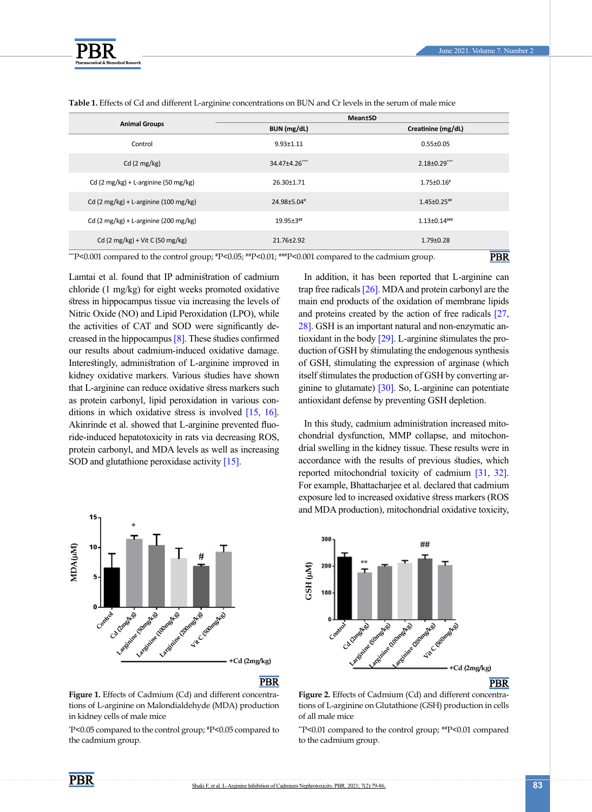

| <b>Animal Groups</b>                                                                                                     | Mean±SD        |                       |
|--------------------------------------------------------------------------------------------------------------------------|----------------|-----------------------|
|                                                                                                                          | BUN (mg/dL)    | Creatinine (mg/dL)    |
| Control                                                                                                                  | $9.93 + 1.11$  | $0.55 \pm 0.05$       |
| Cd $(2 \text{ mg/kg})$                                                                                                   | 34.47±4.26***  | $2.18 \pm 0.29$ ***   |
| Cd (2 mg/kg) + L-arginine (50 mg/kg)                                                                                     | 26.30±1.71     | $1.75 \pm 0.16^*$     |
| Cd (2 mg/kg) + L-arginine (100 mg/kg)                                                                                    | 24.98±5.04#    | $1.45 \pm 0.25$ ##    |
| Cd $(2 \text{ mg/kg}) + L$ -arginine $(200 \text{ mg/kg})$                                                               | $19.95 + 3$ ## | $1.13 \pm 0.14$ ***** |
| Cd $(2 \text{ mg/kg}) + \text{Vit C}$ (50 mg/kg)                                                                         | 21.76±2.92     | $1.79 \pm 0.28$       |
| PBR<br>""P<0.001 compared to the control group; $P$ = 0.05; $P$ = 0.01; $P$ = $P$ = 0.001 compared to the cadmium group. |                |                       |

<span id="page-4-2"></span>**Table 1.** Effects of Cd and different L-arginine concentrations on BUN and Cr levels in the serum of male mice

\*\*P<0.001 compared to the control group;  $*P$ <0.05;  $**P$ <0.01;  $***P$ <0.001 compared to the cadmium group.

Lamtai et al. found that IP administration of cadmium chloride (1 mg/kg) for eight weeks promoted oxidative stress in hippocampus tissue via increasing the levels of Nitric Oxide (NO) and Lipid Peroxidation (LPO), while the activities of CAT and SOD were significantly decreased in the hippocampus [\[8\]](#page-6-7). These studies confirmed our results about cadmium-induced oxidative damage. Interestingly, administration of L-arginine improved in kidney oxidative markers. Various studies have shown that L-arginine can reduce oxidative stress markers such as protein carbonyl, lipid peroxidation in various conditions in which oxidative stress is involved [\[15,](#page-7-3) 16]. Akinrinde et al. showed that L-arginine prevented fluoride-induced hepatotoxicity in rats via decreasing ROS, protein carbonyl, and MDA levels as well as increasing SOD and glutathione peroxidase activity [\[15\]](#page-7-3).



#### **PBR**

<span id="page-4-0"></span>Figure 1. Effects of Cadmium (Cd) and different concentrations of L-arginine on Malondialdehyde (MDA) production in kidney cells of male mice

\* P<0.05 compared to the control group; #P<0.05 compared to

In addition, it has been reported that L-arginine can trap free radicals [\[26\]](#page-7-11). MDA and protein carbonyl are the main end products of the oxidation of membrane lipids and proteins created by the action of free radicals [27, [28\]](#page-7-12). GSH is an important natural and non-enzymatic antioxidant in the body [\[29\]](#page-7-13). L-arginine stimulates the production of GSH by stimulating the endogenous synthesis of GSH, stimulating the expression of arginase (which itself stimulates the production of GSH by converting arginine to glutamate[\) \[30\]](#page-7-14). So, L-arginine can potentiate antioxidant defense by preventing GSH depletion.

In this study, cadmium administration increased mitochondrial dysfunction, MMP collapse, and mitochondrial swelling in the kidney tissue. These results were in accordance with the results of previous studies, which reported mitochondrial toxicity of cadmium [\[31,](#page-7-15) [32\]](#page-7-16). For example, Bhattacharjee et al. declared that cadmium exposure led to increased oxidative stress markers (ROS and MDA production), mitochondrial oxidative toxicity,



**PBR** 

<span id="page-4-1"></span>Figure 2. Effects of Cadmium (Cd) and different concentrations of L-arginine on Glutathione (GSH) production in cells of all male mice

\*\*P<0.01 compared to the control group; ##P<0.01 compared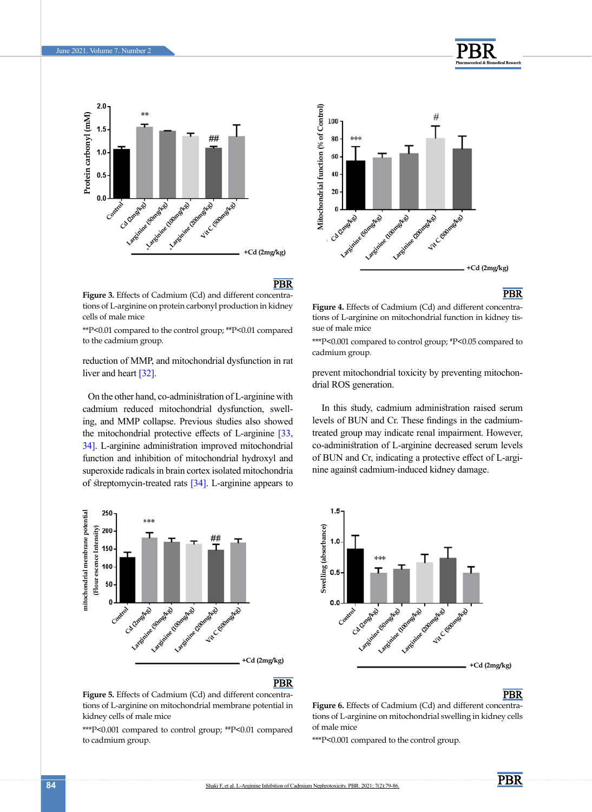

<span id="page-5-0"></span>**Figure 3.** Effects of Cadmium (Cd) and different concentrations of L-arginine on protein carbonyl production in kidney cells of male mice

\*\*P<0.01 compared to the control group; ##P<0.01 compared

reduction of MMP, and mitochondrial dysfunction in rat liver and heart [\[32\]](#page-7-16).

On the other hand, co-administration of L-arginine with cadmium reduced mitochondrial dysfunction, swelling, and MMP collapse. Previous studies also showed the mitochondrial protective effects of L-arginine [\[33,](#page-7-17) [34\]](#page-7-18). L-arginine administration improved mitochondrial function and inhibition of mitochondrial hydroxyl and superoxide radicals in brain cortex isolated mitochondria of streptomycin-treated rats  $[34]$ . L-arginine appears to



**PBR** 

**PBR** 

<span id="page-5-2"></span>**Figure 5.** Effects of Cadmium (Cd) and different concentrations of L-arginine on mitochondrial membrane potential in kidney cells of male mice

\*\*\*P<0.001 compared to control group; ##P<0.01 compared to cadmium group.



# **PBR**

<span id="page-5-1"></span>**Figure 4.** Effects of Cadmium (Cd) and different concentrations of L-arginine on mitochondrial function in kidney tissue of male mice

\*\*\*P<0.001 compared to control group; #P<0.05 compared to

prevent mitochondrial toxicity by preventing mitochondrial ROS generation.

 In this study, cadmium administration raised serum levels of BUN and Cr. These findings in the cadmiumtreated group may indicate renal impairment. However, co-administration of L-arginine decreased serum levels of BUN and Cr, indicating a protective effect of L-arginine against cadmium-induced kidney damage.



## **PBR**

<span id="page-5-3"></span>Figure 6. Effects of Cadmium (Cd) and different concentrations of L-arginine on mitochondrial swelling in kidney cells of male mice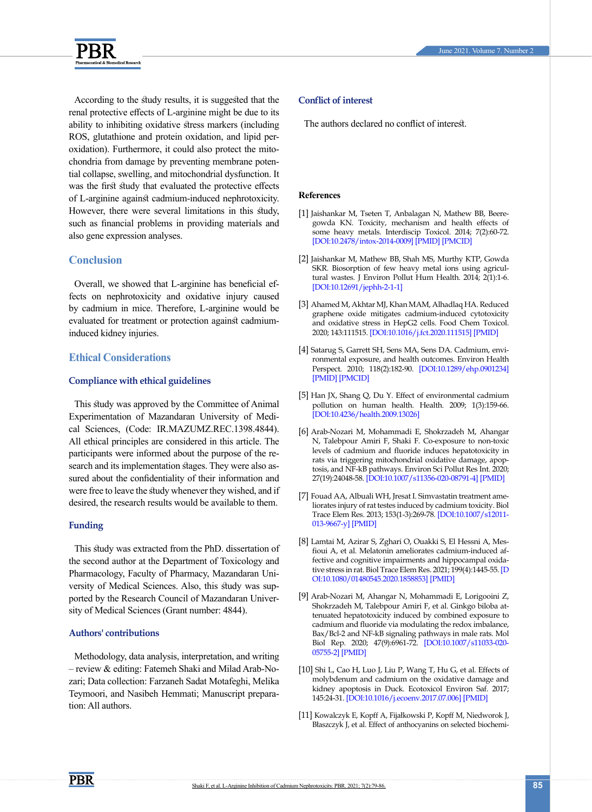



According to the study results, it is suggested that the renal protective effects of L-arginine might be due to its ability to inhibiting oxidative stress markers (including ROS, glutathione and protein oxidation, and lipid peroxidation). Furthermore, it could also protect the mitochondria from damage by preventing membrane potential collapse, swelling, and mitochondrial dysfunction. It was the first study that evaluated the protective effects of L-arginine against cadmium-induced nephrotoxicity. However, there were several limitations in this study, such as financial problems in providing materials and also gene expression analyses.

# **Conclusion**

Overall, we showed that L-arginine has beneficial effects on nephrotoxicity and oxidative injury caused by cadmium in mice. Therefore, L-arginine would be evaluated for treatment or protection against cadmiuminduced kidney injuries.

# **Ethical Considerations**

### **Compliance with ethical guidelines**

This study was approved by the Committee of Animal Experimentation of Mazandaran University of Medical Sciences, (Code: IR.MAZUMZ.REC.1398.4844). All ethical principles are considered in this article. The participants were informed about the purpose of the research and its implementation stages. They were also assured about the confidentiality of their information and were free to leave the study whenever they wished, and if desired, the research results would be available to them.

## **Funding**

This study was extracted from the PhD. dissertation of the second author at the Department of Toxicology and Pharmacology, Faculty of Pharmacy, Mazandaran University of Medical Sciences. Also, this study was supported by the Research Council of Mazandaran University of Medical Sciences (Grant number: 4844).

#### **Authors' contributions**

Methodology, data analysis, interpretation, and writing – review & editing: Fatemeh Shaki and Milad Arab-Nozari; Data collection: Farzaneh Sadat Motafeghi, Melika Teymoori, and Nasibeh Hemmati; Manuscript preparation: All authors.

## **Conflict of interest**

The authors declared no conflict of interest.

#### **References**

- <span id="page-6-0"></span>[1] Jaishankar M, Tseten T, Anbalagan N, Mathew BB, Beeregowda KN. Toxicity, mechanism and health effects of some heavy metals. Interdiscip Toxicol. 2014; 7(2):60-72. [\[DOI:10.2478/intox-2014-0009](https://doi.org/10.2478/intox-2014-0009)] [\[PMID\]](https://www.ncbi.nlm.nih.gov/pubmed/26109881) [[PMCID\]](http://www.ncbi.nlm.nih.gov/pmc/articles/PMC4427717)
- <span id="page-6-1"></span>[2] Jaishankar M, Mathew BB, Shah MS, Murthy KTP, Gowda SKR. Biosorption of few heavy metal ions using agricultural wastes. J Environ Pollut Hum Health. 2014; 2(1):1-6. [\[DOI:10.12691/jephh-2-1-1](http://www.sciepub.com/JEPHH/abstract/1248)]
- <span id="page-6-2"></span>[3] Ahamed M, Akhtar MJ, Khan MAM, Alhadlaq HA. Reduced graphene oxide mitigates cadmium-induced cytotoxicity and oxidative stress in HepG2 cells. Food Chem Toxicol. 2020; 143:111515. [\[DOI:10.1016/j.fct.2020.111515](https://doi.org/10.1016/j.fct.2020.111515)] [\[PMID\]](https://www.ncbi.nlm.nih.gov/pubmed/32634506)
- <span id="page-6-3"></span>[4] [Satarug S, Garrett SH, Sens MA, Sens DA. Cadmium, envi](https://pubmed.ncbi.nlm.nih.gov/32085840/)[ronmental exposure, and health outcomes. Environ Health](https://pubmed.ncbi.nlm.nih.gov/32085840/) [Perspect. 2010; 118\(2\):182-90.](https://pubmed.ncbi.nlm.nih.gov/32085840/) [\[DOI:10.1289/ehp.0901234\]](https://doi.org/10.1289/ehp.0901234) [\[PMID\]](https://www.ncbi.nlm.nih.gov/pubmed/20123617) [[PMCID\]](http://www.ncbi.nlm.nih.gov/pmc/articles/PMC2831915)
- <span id="page-6-4"></span>[5] Han JX, Shang Q, Du Y. Effect of environmental cadmium pollution on human health. Health. 2009; 1(3):159-66. [\[DOI:10.4236/health.2009.13026\]](https://doi.org/10.4236/health.2009.13026)
- <span id="page-6-5"></span>[6] Arab-Nozari M, Mohammadi E, Shokrzadeh M, Ahangar N, Talebpour Amiri F, Shaki F. Co-exposure to non-toxic levels of cadmium and fluoride induces hepatotoxicity in rats via triggering mitochondrial oxidative damage, apoptosis, and NF-kB pathways. Environ Sci Pollut Res Int. 2020; 27(19):24048-58. [[DOI:10.1007/s11356-020-08791-4](https://doi.org/10.1007/s11356-020-08791-4)] [\[PMID\]](https://www.ncbi.nlm.nih.gov/pubmed/32304050)
- <span id="page-6-6"></span>[7] Fouad AA, Albuali WH, Jresat I. Simvastatin treatment ameliorates injury of rat testes induced by cadmium toxicity. Biol Trace Elem Res. 2013; 153(1-3):269-78. [\[DOI:10.1007/s12011-](https://doi.org/10.1007/s12011-013-9667-y) [013-9667-y\]](https://doi.org/10.1007/s12011-013-9667-y) [[PMID](https://www.ncbi.nlm.nih.gov/pubmed/23625729)]
- <span id="page-6-7"></span>[8] Lamtai M, Azirar S, Zghari O, Ouakki S, El Hessni A, Mesfioui A, et al. Melatonin ameliorates cadmium-induced affective and cognitive impairments and hippocampal oxidative stress in rat. Biol Trace Elem Res. 2021; 199(4):1445-55. [\[D](https://doi.org/10.1080/01480545.2020.1858853) [OI:10.1080/01480545.2020.1858853](https://doi.org/10.1080/01480545.2020.1858853)] [\[PMID\]](https://www.ncbi.nlm.nih.gov/pubmed/33412940)
- <span id="page-6-8"></span>[9] Arab-Nozari M, Ahangar N, Mohammadi E, Lorigooini Z, Shokrzadeh M, Talebpour Amiri F, et al. Ginkgo biloba attenuated hepatotoxicity induced by combined exposure to cadmium and fluoride via modulating the redox imbalance, Bax/Bcl-2 and NF-kB signaling pathways in male rats. Mol Biol Rep. 2020; 47(9):6961-72. [\[DOI:10.1007/s11033-020-](https://doi.org/10.1007/s11033-020-05755-2) [05755-2](https://doi.org/10.1007/s11033-020-05755-2)] [\[PMID\]](https://www.ncbi.nlm.nih.gov/pubmed/32920758)
- <span id="page-6-9"></span>[10] Shi L, Cao H, Luo J, Liu P, Wang T, Hu G, et al. Effects of molybdenum and cadmium on the oxidative damage and kidney apoptosis in Duck. Ecotoxicol Environ Saf. 2017; 145:24-31. [\[DOI:10.1016/j.ecoenv.2017.07.006\]](https://doi.org/10.1016/j.ecoenv.2017.07.006) [[PMID](https://www.ncbi.nlm.nih.gov/pubmed/28692912)]
- [11] Kowalczyk E, Kopff A, Fijałkowski P, Kopff M, Niedworok J, Błaszczyk J, et al. Effect of anthocyanins on selected biochemi-